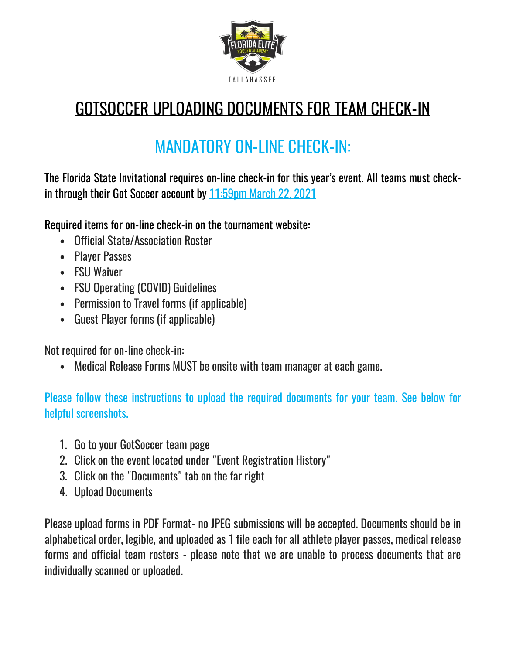

## GOTSOCCER UPLOADING DOCUMENTS FOR TEAM CHECK-IN

## MANDATORY ON-LINE CHECK-IN:

The Florida State Invitational requires on-line check-in for this year's event. All teams must checkin through their Got Soccer account by 11:59pm March 22, 2021

Required items for on-line check-in on the tournament website:

- Official State/Association Roster
- Player Passes
- FSU Waiver
- FSU Operating (COVID) Guidelines
- Permission to Travel forms (if applicable)
- Guest Player forms (if applicable)

Not required for on-line check-in:

• Medical Release Forms MUST be onsite with team manager at each game.

Please follow these instructions to upload the required documents for your team. See below for helpful screenshots.

- 1. Go to your GotSoccer team page
- 2. Click on the event located under "Event Registration History"
- 3. Click on the "Documents" tab on the far right
- 4. Upload Documents

Please upload forms in PDF Format- no JPEG submissions will be accepted. Documents should be in alphabetical order, legible, and uploaded as 1 file each for all athlete player passes, medical release forms and official team rosters - please note that we are unable to process documents that are individually scanned or uploaded.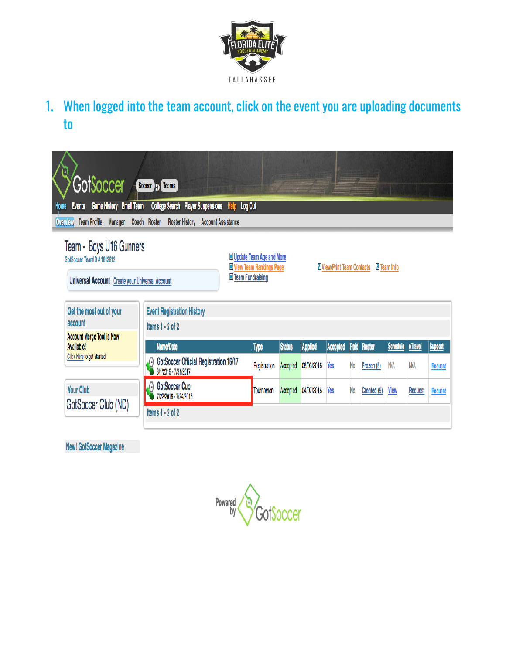

1. When logged into the team account, click on the event you are uploading documents to

| Ū<br>GotSoccer                                                                                                                                                                                                                    | Soccer <b>SS</b> Teams                                                                                                                                                               |  |                             |          |                              |                 |                |                      |      |            |         |
|-----------------------------------------------------------------------------------------------------------------------------------------------------------------------------------------------------------------------------------|--------------------------------------------------------------------------------------------------------------------------------------------------------------------------------------|--|-----------------------------|----------|------------------------------|-----------------|----------------|----------------------|------|------------|---------|
| <b>Game History Email Team</b><br>College Search Player Suspensions Help Log Out<br><b>Events</b><br>Home<br><b>Team Profile</b><br><b>Manager</b><br>Coach Roster<br><b>Roster History Account Assistance</b><br><b>Overview</b> |                                                                                                                                                                                      |  |                             |          |                              |                 |                |                      |      |            |         |
| Team - Boys U16 Gunners<br>GotSoccer TeamID #1012612<br>Universal Account Create your Universal Account<br>Get the most out of your                                                                                               | Delpdate Team Age and More<br><b>H</b> View Team Rankings Page<br><b>7 View/Print Team Contacts</b><br>Z Team Info<br><b>H</b> Team Fundraising<br><b>Event Registration History</b> |  |                             |          |                              |                 |                |                      |      |            |         |
| account                                                                                                                                                                                                                           | Items $1 - 2$ of 2                                                                                                                                                                   |  |                             |          |                              |                 |                |                      |      |            |         |
| <b>Account Merge Tool is Now</b><br><b>Available!</b>                                                                                                                                                                             | <b>Status</b><br>Paid<br><b>Schedule</b><br><b>eTravel</b><br><b>Support</b>                                                                                                         |  |                             |          |                              |                 |                |                      |      |            |         |
| Click Here to get started.                                                                                                                                                                                                        | Name/Date<br>GotSoccer Official Registration 16/17<br>$\Theta$<br>8/1/2016 - 7/31/2017                                                                                               |  | <b>Type</b><br>Registration | Accepted | <b>Applied</b><br>06/03/2016 | Accepted<br>Yes | N <sub>o</sub> | Roster<br>Frozen (6) | N/A  | <b>N/A</b> | Request |
| <b>Your Club</b>                                                                                                                                                                                                                  | <b>GotSoccer Cup</b><br>$\emptyset$<br>7/22/2016 - 7/24/2016                                                                                                                         |  | Tournament                  | Accepted | 04/07/2016                   | Yes             | N <sub>o</sub> | Created (9)          | View | Request    | Request |
| GotSoccer Club (ND)                                                                                                                                                                                                               | Items 1 - 2 of 2                                                                                                                                                                     |  |                             |          |                              |                 |                |                      |      |            |         |

**New! GotSoccer Magazine** 

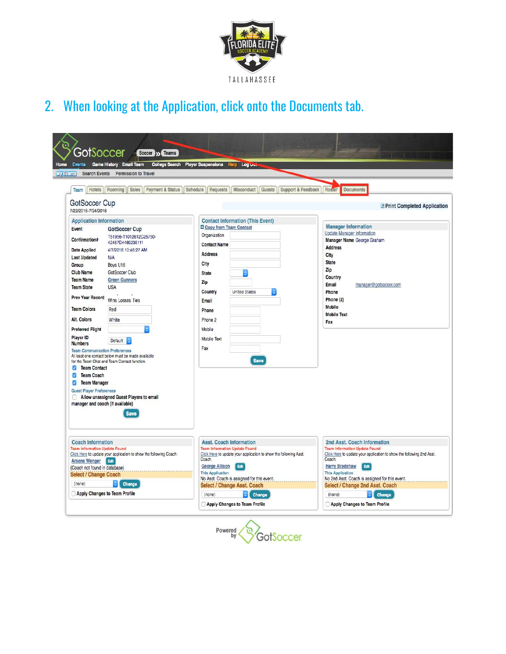

2. When looking at the Application, click onto the Documents tab.

| <b>My Events</b>                              | <b>Search Events</b><br><b>Permission to Travel</b>                                               | College Search Player Suspensions Help Log Out                    |                                                                       |  |  |  |
|-----------------------------------------------|---------------------------------------------------------------------------------------------------|-------------------------------------------------------------------|-----------------------------------------------------------------------|--|--|--|
| Team Hotels   Rooming                         | Sales  <br><b>Payment &amp; Status</b>                                                            | Misconduct   Guests   Support & Feedback<br>Schedule<br>Requests  | Roster<br><b>Documents</b>                                            |  |  |  |
| GotSoccer Cup<br>7/22/2016-7/24/2016          |                                                                                                   |                                                                   | <b>Print Completed Application</b>                                    |  |  |  |
| <b>Application Information</b>                |                                                                                                   | <b>Contact Information (This Event)</b>                           |                                                                       |  |  |  |
| Event                                         | <b>GotSoccer Cup</b>                                                                              | <b>D</b> Copy from Team Contact                                   | <b>Manager Information</b>                                            |  |  |  |
| Confirmation#                                 | T51956-T1012612C25750-<br>42467D4489236111                                                        | Organization<br><b>Contact Name</b>                               | <b>Update Manager Information</b><br>Manager Name George Graham       |  |  |  |
| <b>Date Applied</b>                           | 4/7/2016 10:46:27 AM                                                                              |                                                                   | <b>Address</b>                                                        |  |  |  |
| <b>Last Updated</b>                           | N/A                                                                                               | <b>Address</b>                                                    | City                                                                  |  |  |  |
| Group                                         | Boys U16                                                                                          | City                                                              | <b>State</b>                                                          |  |  |  |
| <b>Club Name</b>                              | GotSoccer Club                                                                                    | <b>State</b>                                                      | Zip                                                                   |  |  |  |
| <b>Team Name</b>                              | <b>Green Gunners</b>                                                                              | Zip                                                               | Country                                                               |  |  |  |
| <b>Team State</b>                             | <b>USA</b>                                                                                        |                                                                   | Email<br>manager@gotsoccer.com                                        |  |  |  |
| <b>Prev Year Record</b>                       | Wins Losses Ties                                                                                  | Country<br><b>United States</b><br>Email                          | Phone<br>Phone (2)                                                    |  |  |  |
| <b>Team Colors</b>                            | Red                                                                                               | Phone                                                             | <b>Mobile</b>                                                         |  |  |  |
| Alt. Colors                                   | White                                                                                             |                                                                   | <b>Mobile Text</b>                                                    |  |  |  |
|                                               |                                                                                                   | Phone 2                                                           | Fax                                                                   |  |  |  |
| <b>Preferred Flight</b>                       |                                                                                                   | Mobile                                                            |                                                                       |  |  |  |
| Player ID<br><b>Numbers</b>                   | Default 4                                                                                         | Mobile Text                                                       |                                                                       |  |  |  |
| <b>Team Communication Preferences</b>         |                                                                                                   | Fax                                                               |                                                                       |  |  |  |
|                                               | At least one contact below must be made available<br>for the Team Chat and Team Contact function. | <b>Save</b>                                                       |                                                                       |  |  |  |
| <b>Team Contact</b><br>$\mathcal{L}$          |                                                                                                   |                                                                   |                                                                       |  |  |  |
| $\overline{\mathcal{L}}$<br><b>Team Coach</b> |                                                                                                   |                                                                   |                                                                       |  |  |  |
| $\omega$<br>Team Manager                      |                                                                                                   |                                                                   |                                                                       |  |  |  |
| <b>Guest Player Preferences</b>               |                                                                                                   |                                                                   |                                                                       |  |  |  |
|                                               | Allow unassigned Guest Players to email                                                           |                                                                   |                                                                       |  |  |  |
| manager and coach (If available)              |                                                                                                   |                                                                   |                                                                       |  |  |  |
|                                               | <b>Save</b>                                                                                       |                                                                   |                                                                       |  |  |  |
|                                               |                                                                                                   |                                                                   |                                                                       |  |  |  |
|                                               |                                                                                                   |                                                                   |                                                                       |  |  |  |
| <b>Coach Information</b>                      |                                                                                                   | <b>Asst. Coach Information</b>                                    | 2nd Asst. Coach Information                                           |  |  |  |
| <b>Team Information Update Found</b>          |                                                                                                   | <b>Team Information Update Found</b>                              | <b>Team Information Update Found</b>                                  |  |  |  |
|                                               | Click Here to update your application to show the following Coach:                                | Click Here to update your application to show the following Asst. | Click Here to update your application to show the following 2nd Asst. |  |  |  |
| <b>Arsene Wenger Edit</b>                     |                                                                                                   | Coach:<br>Edit                                                    | Coach:<br>Edit                                                        |  |  |  |
| (Coach not found in database)                 |                                                                                                   | <b>George Allison</b><br><b>This Application</b>                  | <b>Harry Bradshaw</b><br><b>This Application</b>                      |  |  |  |
| <b>Select / Change Coach</b>                  |                                                                                                   | No Asst. Coach is assigned for this event.                        | No 2nd Asst. Coach is assigned for this event.                        |  |  |  |
| (none)<br>$\circ$ Change                      |                                                                                                   | Select / Change Asst. Coach                                       | Select / Change 2nd Asst. Coach                                       |  |  |  |
| Apply Changes to Team Profile                 |                                                                                                   | (none)<br>Change                                                  | (none)<br>Change<br>$\circ$ [                                         |  |  |  |
|                                               |                                                                                                   |                                                                   |                                                                       |  |  |  |